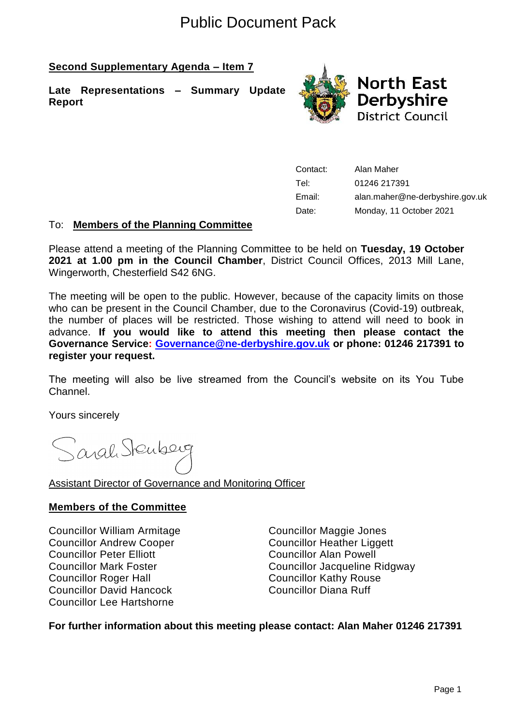# Public Document Pack

# **Second Supplementary Agenda – Item 7**

**Late Representations – Summary Update Report**



Contact: Alan Maher Tel: 01246 217391 Email: alan.maher@ne-derbyshire.gov.uk Date: Monday, 11 October 2021

## To: **Members of the Planning Committee**

Please attend a meeting of the Planning Committee to be held on **Tuesday, 19 October 2021 at 1.00 pm in the Council Chamber**, District Council Offices, 2013 Mill Lane, Wingerworth, Chesterfield S42 6NG.

The meeting will be open to the public. However, because of the capacity limits on those who can be present in the Council Chamber, due to the Coronavirus (Covid-19) outbreak, the number of places will be restricted. Those wishing to attend will need to book in advance. **If you would like to attend this meeting then please contact the Governance Service: [Governance@ne-derbyshire.gov.uk](mailto:Governance@ne-derbyshire.gov.uk) or phone: 01246 217391 to register your request.**

The meeting will also be live streamed from the Council's website on its You Tube Channel.

Yours sincerely

Sarah Stenberg

## Assistant Director of Governance and Monitoring Officer

## **Members of the Committee**

Councillor William Armitage Councillor Maggie Jones Councillor Andrew Cooper Councillor Heather Liggett Councillor Peter Elliott Councillor Alan Powell Councillor Roger Hall **Councillor Kathy Rouse** Councillor David Hancock Councillor Diana Ruff Councillor Lee Hartshorne

Councillor Mark Foster Councillor Jacqueline Ridgway

**For further information about this meeting please contact: Alan Maher 01246 217391**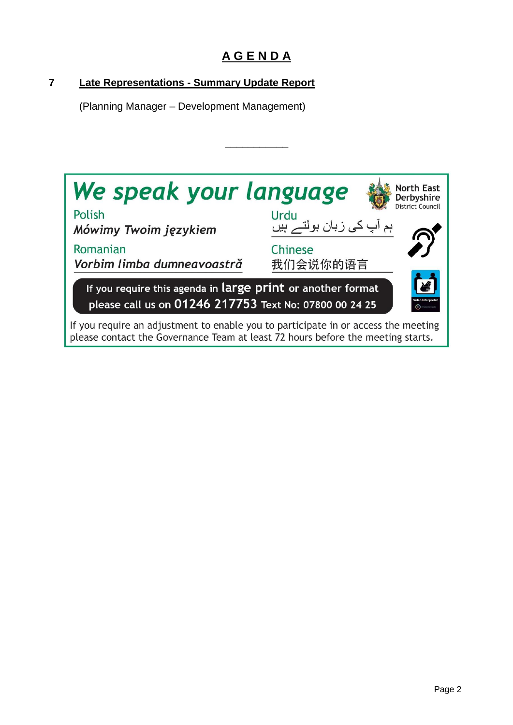# **A G E N D A**

\_\_\_\_\_\_\_\_\_\_\_

# **7 Late Representations - Summary Update Report**

(Planning Manager – Development Management)

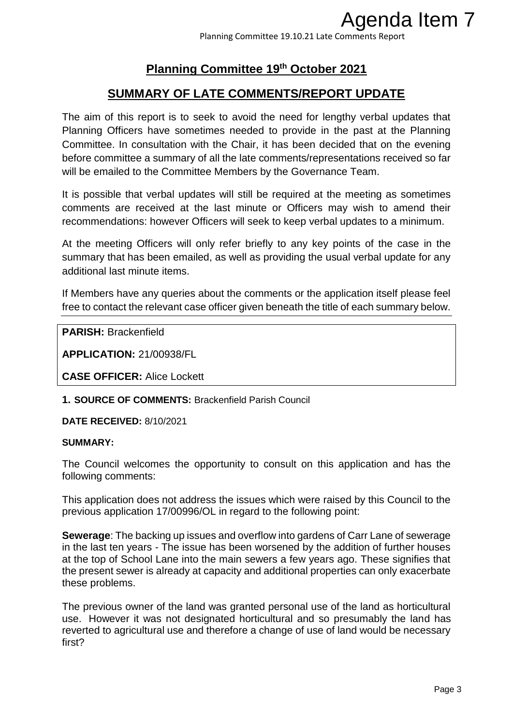Planning Committee 19.10.21 Late Comments Report

# **Planning Committee 19th October 2021**

# **SUMMARY OF LATE COMMENTS/REPORT UPDATE**

The aim of this report is to seek to avoid the need for lengthy verbal updates that Planning Officers have sometimes needed to provide in the past at the Planning Committee. In consultation with the Chair, it has been decided that on the evening before committee a summary of all the late comments/representations received so far will be emailed to the Committee Members by the Governance Team. **Agenda Item 7**<br> **Promments Report**<br> **RIVIPDATE**<br> **RIVIPDATE**<br> **RIVIPDATE**<br> **RIVIPDATE**<br> **RIVIPDATE**<br> **RIVIPDATE**<br> **RIGUARTE**<br> **RIGUARTE**<br> **RIGUARTE**<br> **RIGUARTE**<br> **RIGUARTERTE CONTERTE AND MODE TO A MONDRIFY AND MODE MODE** 

It is possible that verbal updates will still be required at the meeting as sometimes comments are received at the last minute or Officers may wish to amend their recommendations: however Officers will seek to keep verbal updates to a minimum.

At the meeting Officers will only refer briefly to any key points of the case in the summary that has been emailed, as well as providing the usual verbal update for any additional last minute items.

If Members have any queries about the comments or the application itself please feel free to contact the relevant case officer given beneath the title of each summary below.

**PARISH:** Brackenfield

**APPLICATION:** 21/00938/FL

**CASE OFFICER:** Alice Lockett

**1. SOURCE OF COMMENTS:** Brackenfield Parish Council

**DATE RECEIVED:** 8/10/2021

#### **SUMMARY:**

The Council welcomes the opportunity to consult on this application and has the following comments:

This application does not address the issues which were raised by this Council to the previous application 17/00996/OL in regard to the following point:

**Sewerage**: The backing up issues and overflow into gardens of Carr Lane of sewerage in the last ten years - The issue has been worsened by the addition of further houses at the top of School Lane into the main sewers a few years ago. These signifies that the present sewer is already at capacity and additional properties can only exacerbate these problems.

The previous owner of the land was granted personal use of the land as horticultural use. However it was not designated horticultural and so presumably the land has reverted to agricultural use and therefore a change of use of land would be necessary first?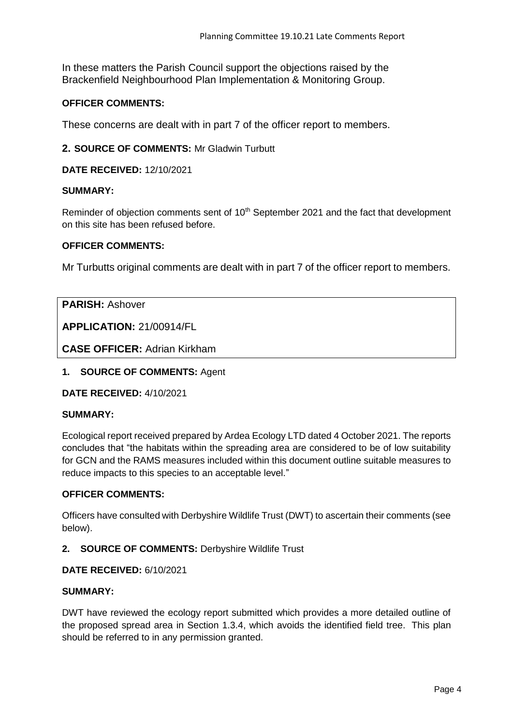In these matters the Parish Council support the objections raised by the Brackenfield Neighbourhood Plan Implementation & Monitoring Group.

### **OFFICER COMMENTS:**

These concerns are dealt with in part 7 of the officer report to members.

**2. SOURCE OF COMMENTS:** Mr Gladwin Turbutt

**DATE RECEIVED:** 12/10/2021

#### **SUMMARY:**

Reminder of objection comments sent of 10<sup>th</sup> September 2021 and the fact that development on this site has been refused before.

#### **OFFICER COMMENTS:**

Mr Turbutts original comments are dealt with in part 7 of the officer report to members.

**PARISH:** Ashover

**APPLICATION:** 21/00914/FL

**CASE OFFICER:** Adrian Kirkham

**1. SOURCE OF COMMENTS:** Agent

**DATE RECEIVED:** 4/10/2021

#### **SUMMARY:**

Ecological report received prepared by Ardea Ecology LTD dated 4 October 2021. The reports concludes that "the habitats within the spreading area are considered to be of low suitability for GCN and the RAMS measures included within this document outline suitable measures to reduce impacts to this species to an acceptable level."

#### **OFFICER COMMENTS:**

Officers have consulted with Derbyshire Wildlife Trust (DWT) to ascertain their comments (see below).

#### **2. SOURCE OF COMMENTS:** Derbyshire Wildlife Trust

#### **DATE RECEIVED:** 6/10/2021

#### **SUMMARY:**

DWT have reviewed the ecology report submitted which provides a more detailed outline of the proposed spread area in Section 1.3.4, which avoids the identified field tree. This plan should be referred to in any permission granted.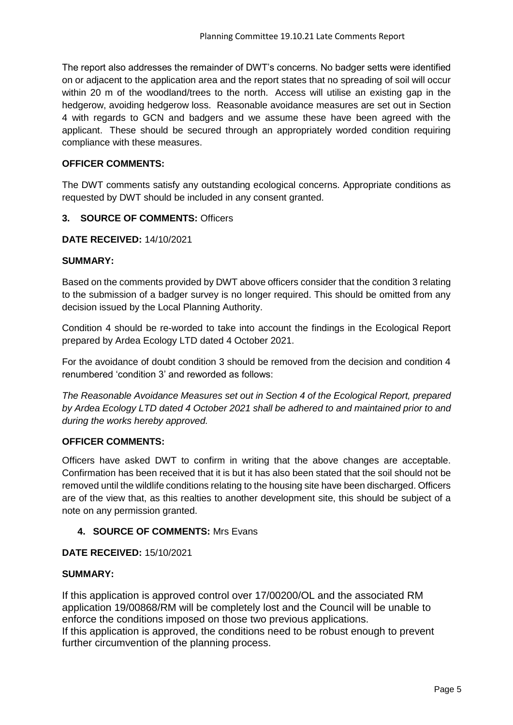The report also addresses the remainder of DWT's concerns. No badger setts were identified on or adjacent to the application area and the report states that no spreading of soil will occur within 20 m of the woodland/trees to the north. Access will utilise an existing gap in the hedgerow, avoiding hedgerow loss. Reasonable avoidance measures are set out in Section 4 with regards to GCN and badgers and we assume these have been agreed with the applicant. These should be secured through an appropriately worded condition requiring compliance with these measures.

#### **OFFICER COMMENTS:**

The DWT comments satisfy any outstanding ecological concerns. Appropriate conditions as requested by DWT should be included in any consent granted.

#### **3. SOURCE OF COMMENTS:** Officers

#### **DATE RECEIVED:** 14/10/2021

# **SUMMARY:**

Based on the comments provided by DWT above officers consider that the condition 3 relating to the submission of a badger survey is no longer required. This should be omitted from any decision issued by the Local Planning Authority.

Condition 4 should be re-worded to take into account the findings in the Ecological Report prepared by Ardea Ecology LTD dated 4 October 2021.

For the avoidance of doubt condition 3 should be removed from the decision and condition 4 renumbered 'condition 3' and reworded as follows:

*The Reasonable Avoidance Measures set out in Section 4 of the Ecological Report, prepared by Ardea Ecology LTD dated 4 October 2021 shall be adhered to and maintained prior to and during the works hereby approved.* 

#### **OFFICER COMMENTS:**

Officers have asked DWT to confirm in writing that the above changes are acceptable. Confirmation has been received that it is but it has also been stated that the soil should not be removed until the wildlife conditions relating to the housing site have been discharged. Officers are of the view that, as this realties to another development site, this should be subject of a note on any permission granted.

#### **4. SOURCE OF COMMENTS:** Mrs Evans

#### **DATE RECEIVED:** 15/10/2021

#### **SUMMARY:**

If this application is approved control over 17/00200/OL and the associated RM application 19/00868/RM will be completely lost and the Council will be unable to enforce the conditions imposed on those two previous applications. If this application is approved, the conditions need to be robust enough to prevent further circumvention of the planning process.